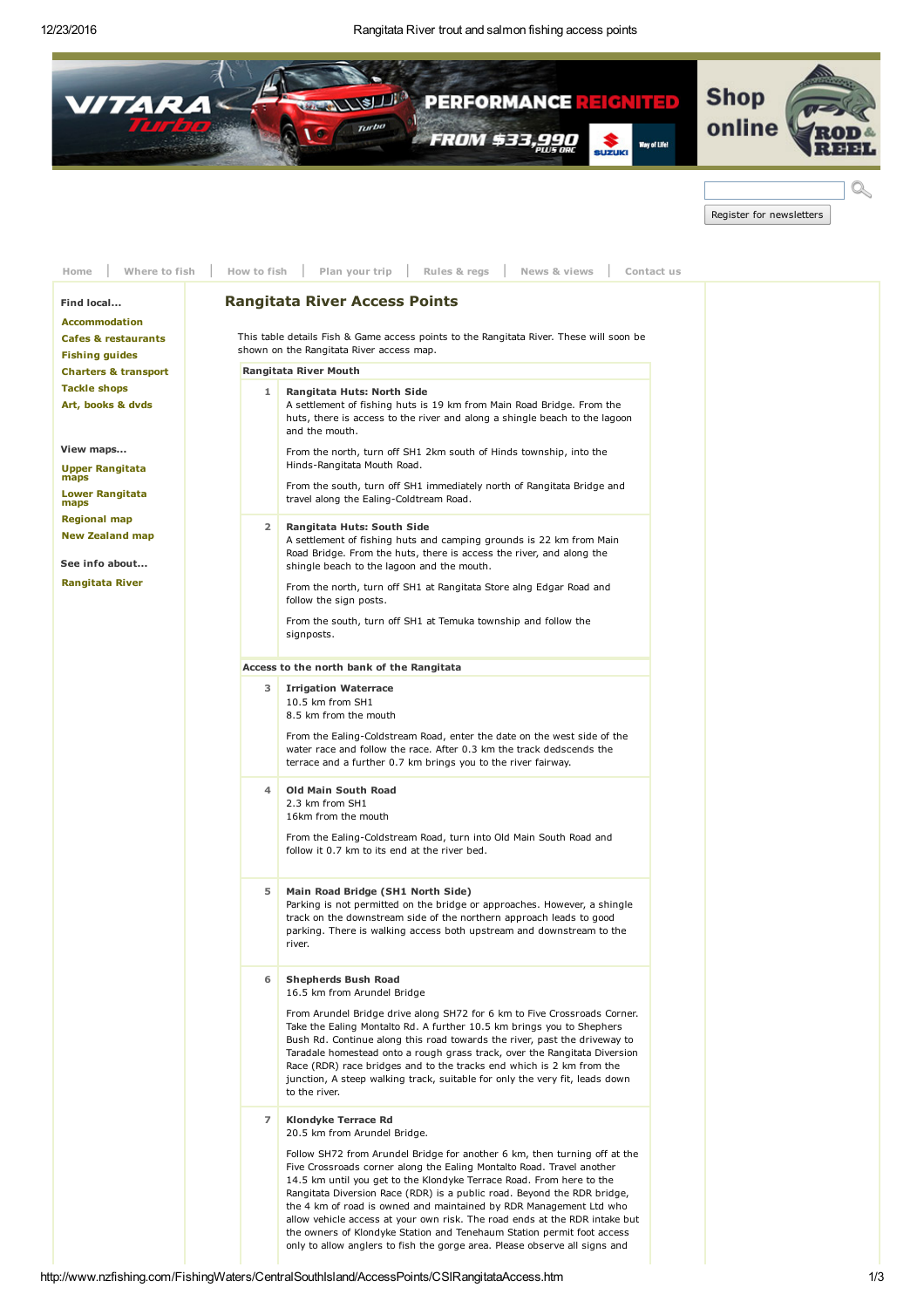

| Register for newsletters |  |
|--------------------------|--|

<span id="page-0-0"></span>

| Where to fish<br>Home                                                | Rules & regs<br>How to fish<br>Plan your trip<br>News & views<br>Contact us                                                                                                                                                                                                                                                                                                                                                                                                         |
|----------------------------------------------------------------------|-------------------------------------------------------------------------------------------------------------------------------------------------------------------------------------------------------------------------------------------------------------------------------------------------------------------------------------------------------------------------------------------------------------------------------------------------------------------------------------|
| Find local<br><b>Accommodation</b><br><b>Cafes &amp; restaurants</b> | <b>Rangitata River Access Points</b><br>This table details Fish & Game access points to the Rangitata River. These will soon be<br>shown on the Rangitata River access map.                                                                                                                                                                                                                                                                                                         |
| <b>Fishing guides</b>                                                |                                                                                                                                                                                                                                                                                                                                                                                                                                                                                     |
| <b>Charters &amp; transport</b>                                      | Rangitata River Mouth                                                                                                                                                                                                                                                                                                                                                                                                                                                               |
| <b>Tackle shops</b><br>Art, books & dvds                             | 1<br>Rangitata Huts: North Side<br>A settlement of fishing huts is 19 km from Main Road Bridge. From the<br>huts, there is access to the river and along a shingle beach to the lagoon<br>and the mouth.                                                                                                                                                                                                                                                                            |
| View maps                                                            | From the north, turn off SH1 2km south of Hinds township, into the                                                                                                                                                                                                                                                                                                                                                                                                                  |
| <b>Upper Rangitata</b><br>maps                                       | Hinds-Rangitata Mouth Road.                                                                                                                                                                                                                                                                                                                                                                                                                                                         |
| <b>Lower Rangitata</b><br>maps                                       | From the south, turn off SH1 immediately north of Rangitata Bridge and<br>travel along the Ealing-Coldtream Road.                                                                                                                                                                                                                                                                                                                                                                   |
| <b>Regional map</b><br><b>New Zealand map</b><br>See info about      | $\overline{2}$<br>Rangitata Huts: South Side<br>A settlement of fishing huts and camping grounds is 22 km from Main<br>Road Bridge. From the huts, there is access the river, and along the<br>shingle beach to the lagoon and the mouth.                                                                                                                                                                                                                                           |
| <b>Rangitata River</b>                                               | From the north, turn off SH1 at Rangitata Store alng Edgar Road and<br>follow the sign posts.                                                                                                                                                                                                                                                                                                                                                                                       |
|                                                                      | From the south, turn off SH1 at Temuka township and follow the<br>signposts.                                                                                                                                                                                                                                                                                                                                                                                                        |
|                                                                      | Access to the north bank of the Rangitata                                                                                                                                                                                                                                                                                                                                                                                                                                           |
|                                                                      | 3<br><b>Irrigation Waterrace</b><br>10.5 km from SH1<br>8.5 km from the mouth                                                                                                                                                                                                                                                                                                                                                                                                       |
|                                                                      | From the Ealing-Coldstream Road, enter the date on the west side of the<br>water race and follow the race. After 0.3 km the track dedscends the<br>terrace and a further 0.7 km brings you to the river fairway.                                                                                                                                                                                                                                                                    |
|                                                                      | <b>Old Main South Road</b><br>4<br>2.3 km from SH1<br>16km from the mouth<br>From the Ealing-Coldstream Road, turn into Old Main South Road and                                                                                                                                                                                                                                                                                                                                     |
|                                                                      | follow it 0.7 km to its end at the river bed.                                                                                                                                                                                                                                                                                                                                                                                                                                       |
|                                                                      | 5<br>Main Road Bridge (SH1 North Side)<br>Parking is not permitted on the bridge or approaches. However, a shingle<br>track on the downstream side of the northern approach leads to good<br>parking. There is walking access both upstream and downstream to the<br>river.                                                                                                                                                                                                         |
|                                                                      | 6<br><b>Shepherds Bush Road</b><br>16.5 km from Arundel Bridge                                                                                                                                                                                                                                                                                                                                                                                                                      |
|                                                                      | From Arundel Bridge drive along SH72 for 6 km to Five Crossroads Corner.<br>Take the Ealing Montalto Rd. A further 10.5 km brings you to Shephers<br>Bush Rd. Continue along this road towards the river, past the driveway to<br>Taradale homestead onto a rough grass track, over the Rangitata Diversion<br>Race (RDR) race bridges and to the tracks end which is 2 km from the<br>junction, A steep walking track, suitable for only the very fit, leads down<br>to the river. |
|                                                                      | $\overline{7}$<br>Klondyke Terrace Rd<br>20.5 km from Arundel Bridge.                                                                                                                                                                                                                                                                                                                                                                                                               |
|                                                                      | Follow SH72 from Arundel Bridge for another 6 km, then turning off at the<br>Five Crossroads corner along the Ealing Montalto Road. Travel another<br>14.5 km until you get to the Klondyke Terrace Road. From here to the<br>Rangitata Diversion Race (RDR) is a public road. Beyond the RDR bridge,<br>the 4 km of road is owned and maintained by RDR Management Ltd who                                                                                                         |
|                                                                      | allow vehicle access at your own risk. The road ends at the RDR intake but<br>the owners of Klondyke Station and Tenehaum Station permit foot access<br>only to allow anglers to fish the gorge area. Please observe all signs and                                                                                                                                                                                                                                                  |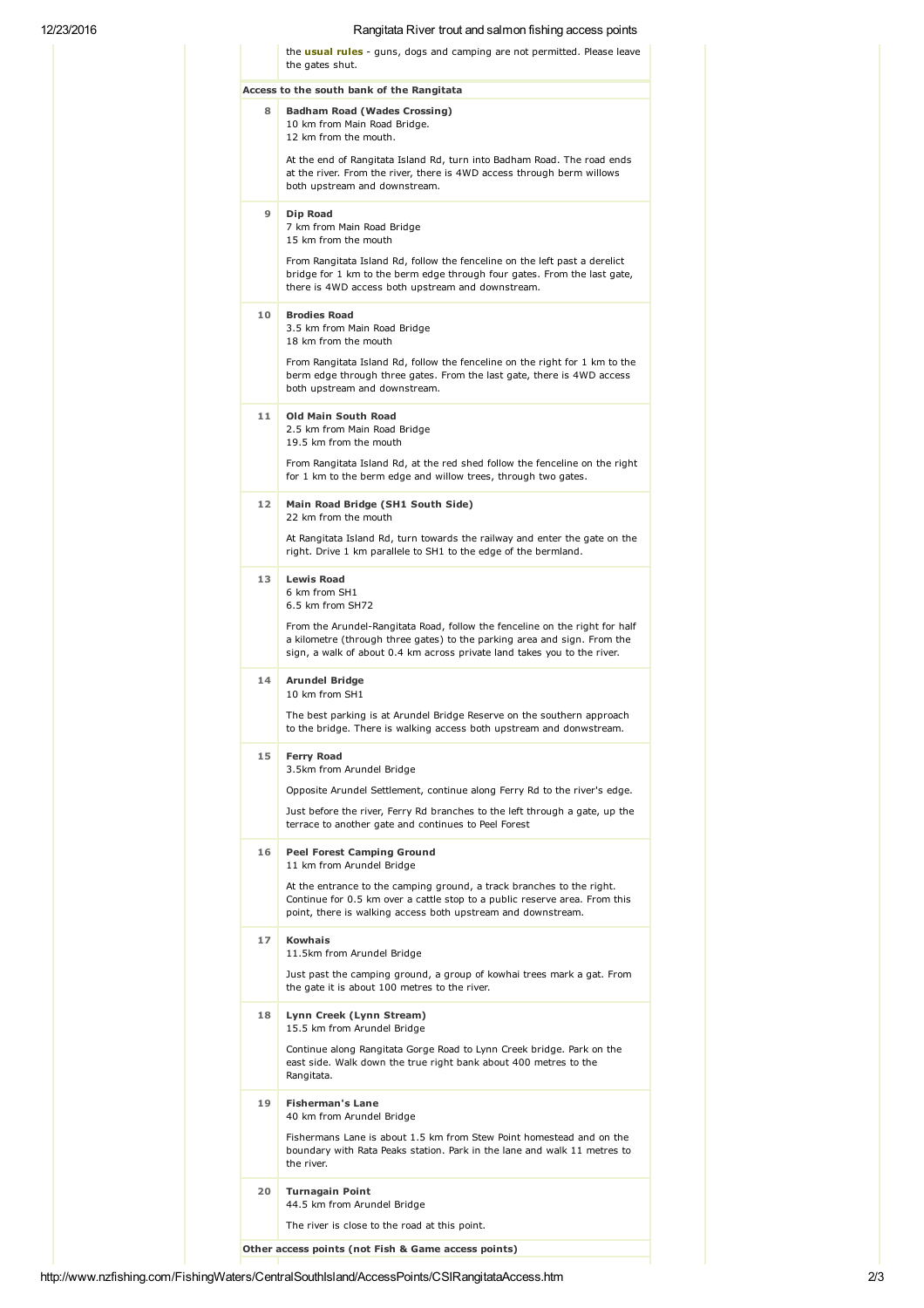## 12/23/2016 Rangitata River trout and salmon fishing access points

|    | Access to the south bank of the Rangitata                                                                                                                                                                                           |
|----|-------------------------------------------------------------------------------------------------------------------------------------------------------------------------------------------------------------------------------------|
| 8  | <b>Badham Road (Wades Crossing)</b><br>10 km from Main Road Bridge.<br>12 km from the mouth.                                                                                                                                        |
|    | At the end of Rangitata Island Rd, turn into Badham Road. The road ends<br>at the river. From the river, there is 4WD access through berm willows<br>both upstream and downstream.                                                  |
| 9  | Dip Road<br>7 km from Main Road Bridge<br>15 km from the mouth                                                                                                                                                                      |
|    | From Rangitata Island Rd, follow the fenceline on the left past a derelict<br>bridge for 1 km to the berm edge through four gates. From the last gate,<br>there is 4WD access both upstream and downstream.                         |
| 10 | <b>Brodies Road</b><br>3.5 km from Main Road Bridge<br>18 km from the mouth                                                                                                                                                         |
|    | From Rangitata Island Rd, follow the fenceline on the right for 1 km to the<br>berm edge through three gates. From the last gate, there is 4WD access<br>both upstream and downstream.                                              |
| 11 | <b>Old Main South Road</b><br>2.5 km from Main Road Bridge<br>19.5 km from the mouth                                                                                                                                                |
|    | From Rangitata Island Rd, at the red shed follow the fenceline on the right<br>for 1 km to the berm edge and willow trees, through two gates.                                                                                       |
| 12 | Main Road Bridge (SH1 South Side)<br>22 km from the mouth                                                                                                                                                                           |
|    | At Rangitata Island Rd, turn towards the railway and enter the gate on the<br>right. Drive 1 km parallele to SH1 to the edge of the bermland.                                                                                       |
| 13 | <b>Lewis Road</b><br>6 km from SH1<br>6.5 km from SH72                                                                                                                                                                              |
|    | From the Arundel-Rangitata Road, follow the fenceline on the right for half<br>a kilometre (through three gates) to the parking area and sign. From the<br>sign, a walk of about 0.4 km across private land takes you to the river. |
| 14 | <b>Arundel Bridge</b><br>10 km from SH1                                                                                                                                                                                             |
|    | The best parking is at Arundel Bridge Reserve on the southern approach<br>to the bridge. There is walking access both upstream and donwstream.                                                                                      |
| 15 | <b>Ferry Road</b><br>3.5km from Arundel Bridge                                                                                                                                                                                      |
|    | Opposite Arundel Settlement, continue along Ferry Rd to the river's edge.                                                                                                                                                           |
|    | Just before the river, Ferry Rd branches to the left through a gate, up the<br>terrace to another gate and continues to Peel Forest                                                                                                 |
| 16 | <b>Peel Forest Camping Ground</b><br>11 km from Arundel Bridge                                                                                                                                                                      |
|    | At the entrance to the camping ground, a track branches to the right.<br>Continue for 0.5 km over a cattle stop to a public reserve area. From this<br>point, there is walking access both upstream and downstream.                 |
| 17 | <b>Kowhais</b><br>11.5km from Arundel Bridge                                                                                                                                                                                        |
|    | Just past the camping ground, a group of kowhai trees mark a gat. From<br>the gate it is about 100 metres to the river.                                                                                                             |
| 18 | Lynn Creek (Lynn Stream)<br>15.5 km from Arundel Bridge                                                                                                                                                                             |
|    | Continue along Rangitata Gorge Road to Lynn Creek bridge. Park on the<br>east side. Walk down the true right bank about 400 metres to the<br>Rangitata.                                                                             |
| 19 | <b>Fisherman's Lane</b><br>40 km from Arundel Bridge                                                                                                                                                                                |
|    | Fishermans Lane is about 1.5 km from Stew Point homestead and on the<br>boundary with Rata Peaks station. Park in the lane and walk 11 metres to<br>the river.                                                                      |
| 20 | <b>Turnagain Point</b><br>44.5 km from Arundel Bridge                                                                                                                                                                               |
|    | The river is close to the road at this point.                                                                                                                                                                                       |